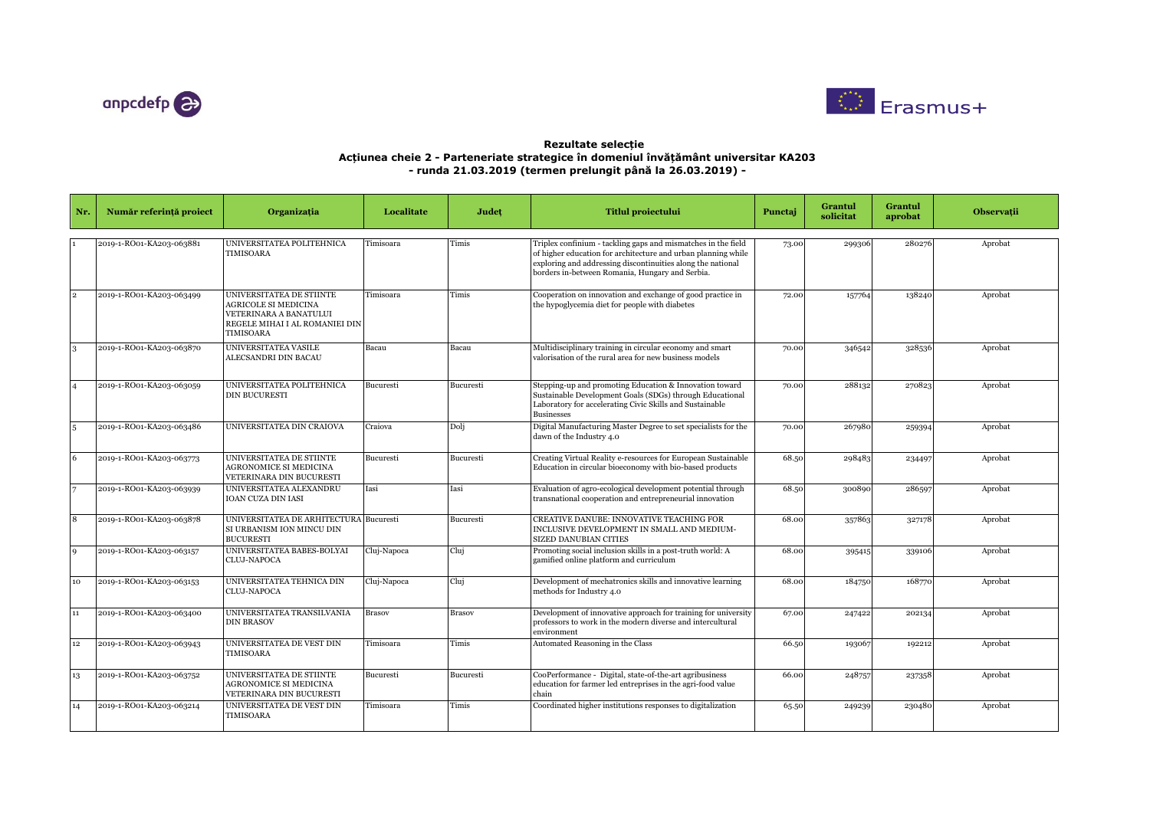



## **Acțiunea cheie 2 - Parteneriate strategice în domeniul învățământ universitar KA203 - runda 21.03.2019 (termen prelungit până la 26.03.2019) - Rezultate selecție**

| Nr.              | Număr referință proiect  | <b>Organizatia</b>                                                                                                        | Localitate  | Judet         | <b>Titlul proiectului</b>                                                                                                                                                                                                                        | Punctaj | <b>Grantul</b><br>solicitat | Grantul<br>aprobat | <b>Observatii</b> |
|------------------|--------------------------|---------------------------------------------------------------------------------------------------------------------------|-------------|---------------|--------------------------------------------------------------------------------------------------------------------------------------------------------------------------------------------------------------------------------------------------|---------|-----------------------------|--------------------|-------------------|
|                  | 2019-1-RO01-KA203-063881 | UNIVERSITATEA POLITEHNICA<br>TIMISOARA                                                                                    | Timisoara   | Timis         | Triplex confinium - tackling gaps and mismatches in the field<br>of higher education for architecture and urban planning while<br>exploring and addressing discontinuities along the national<br>borders in-between Romania, Hungary and Serbia. | 73.00   | 299306                      | 28027              | Aprobat           |
| $\overline{2}$   | 2019-1-RO01-KA203-063499 | UNIVERSITATEA DE STIINTE<br>AGRICOLE SI MEDICINA<br>VETERINARA A BANATULUI<br>REGELE MIHAI I AL ROMANIEI DIN<br>TIMISOARA | Timisoara   | Timis         | Cooperation on innovation and exchange of good practice in<br>the hypoglycemia diet for people with diabetes                                                                                                                                     | 72.00   | 157764                      | 138240             | Aprobat           |
| 3                | 2019-1-RO01-KA203-063870 | UNIVERSITATEA VASILE<br>ALECSANDRI DIN BACAU                                                                              | Bacau       | Bacau         | Multidisciplinary training in circular economy and smart<br>valorisation of the rural area for new business models                                                                                                                               | 70.00   | 346542                      | 328536             | Aprobat           |
|                  | 2019-1-RO01-KA203-063059 | UNIVERSITATEA POLITEHNICA<br><b>DIN BUCURESTI</b>                                                                         | Bucuresti   | Bucuresti     | Stepping-up and promoting Education & Innovation toward<br>Sustainable Development Goals (SDGs) through Educational<br>Laboratory for accelerating Civic Skills and Sustainable<br><b>Businesses</b>                                             | 70.00   | 288132                      | 270823             | Aprobat           |
|                  | 2019-1-RO01-KA203-063486 | UNIVERSITATEA DIN CRAIOVA                                                                                                 | Craiova     | Dolj          | Digital Manufacturing Master Degree to set specialists for the<br>dawn of the Industry 4.0                                                                                                                                                       | 70.00   | 267980                      | 259394             | Aprobat           |
| 6                | 2019-1-RO01-KA203-063773 | UNIVERSITATEA DE STIINTE<br>AGRONOMICE SI MEDICINA<br>VETERINARA DIN BUCURESTI                                            | Bucuresti   | Bucuresti     | Creating Virtual Reality e-resources for European Sustainable<br>Education in circular bioeconomy with bio-based products                                                                                                                        | 68.50   | 298483                      | 234497             | Aprobat           |
| $\overline{7}$   | 2019-1-RO01-KA203-063939 | UNIVERSITATEA ALEXANDRU<br>IOAN CUZA DIN IASI                                                                             | Iasi        | Iasi          | Evaluation of agro-ecological development potential through<br>transnational cooperation and entrepreneurial innovation                                                                                                                          | 68.50   | 300890                      | 28659              | Aprobat           |
| $\overline{8}$   | 2019-1-RO01-KA203-063878 | UNIVERSITATEA DE ARHITECTURA Bucuresti<br>SI URBANISM ION MINCU DIN<br><b>BUCURESTI</b>                                   |             | Bucuresti     | CREATIVE DANUBE: INNOVATIVE TEACHING FOR<br>INCLUSIVE DEVELOPMENT IN SMALL AND MEDIUM-<br>SIZED DANUBIAN CITIES                                                                                                                                  | 68.00   | 357863                      | 327178             | Aprobat           |
| $\overline{9}$   | 2019-1-RO01-KA203-063157 | UNIVERSITATEA BABES-BOLYAI<br>CLUJ-NAPOCA                                                                                 | Cluj-Napoca | Clui          | Promoting social inclusion skills in a post-truth world: A<br>gamified online platform and curriculum                                                                                                                                            | 68.00   | 395415                      | 339106             | Aprobat           |
| 10               | 2019-1-RO01-KA203-063153 | UNIVERSITATEA TEHNICA DIN<br>CLUJ-NAPOCA                                                                                  | Cluj-Napoca | Cluj          | Development of mechatronics skills and innovative learning<br>methods for Industry 4.0                                                                                                                                                           | 68.00   | 184750                      | 168770             | Aprobat           |
| 11               | 2019-1-RO01-KA203-063400 | UNIVERSITATEA TRANSILVANIA<br><b>DIN BRASOV</b>                                                                           | Brasov      | <b>Brasov</b> | Development of innovative approach for training for university<br>professors to work in the modern diverse and intercultural<br>environment                                                                                                      | 67.00   | 247422                      | 202134             | Aprobat           |
| $12\phantom{.0}$ | 2019-1-RO01-KA203-063943 | UNIVERSITATEA DE VEST DIN<br>TIMISOARA                                                                                    | Timisoara   | Timis         | Automated Reasoning in the Class                                                                                                                                                                                                                 | 66.50   | 193067                      | 192212             | Aprobat           |
| 13               | 2019-1-RO01-KA203-063752 | UNIVERSITATEA DE STIINTE<br><b>AGRONOMICE SI MEDICINA</b><br>VETERINARA DIN BUCURESTI                                     | Bucuresti   | Bucuresti     | CooPerformance - Digital, state-of-the-art agribusiness<br>education for farmer led entreprises in the agri-food value<br>chain                                                                                                                  | 66.00   | 248757                      | 237358             | Aprobat           |
| 14               | 2019-1-RO01-KA203-063214 | UNIVERSITATEA DE VEST DIN<br>TIMISOARA                                                                                    | Timisoara   | Timis         | Coordinated higher institutions responses to digitalization                                                                                                                                                                                      | 65.50   | 249239                      | 230480             | Aprobat           |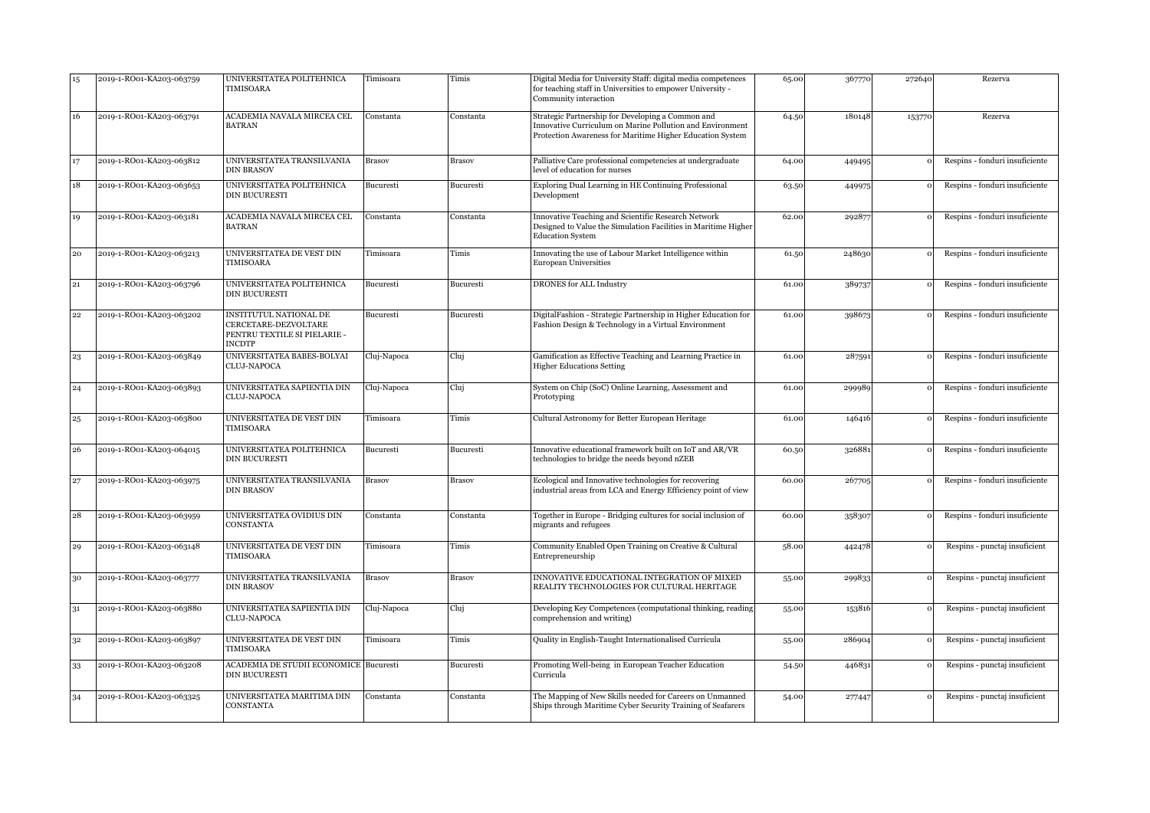| 15        | 2019-1-RO01-KA203-063759 | UNIVERSITATEA POLITEHNICA<br>TIMISOARA                                                          | Timisoara     | Timis         | Digital Media for University Staff: digital media competences<br>for teaching staff in Universities to empower University -<br>Community interaction                        | 65.00 | 36777C             | 272640 | Rezerva                        |
|-----------|--------------------------|-------------------------------------------------------------------------------------------------|---------------|---------------|-----------------------------------------------------------------------------------------------------------------------------------------------------------------------------|-------|--------------------|--------|--------------------------------|
| 16        | 2019-1-RO01-KA203-063791 | ACADEMIA NAVALA MIRCEA CEL<br><b>BATRAN</b>                                                     | Constanta     | Constanta     | Strategic Partnership for Developing a Common and<br>Innovative Curriculum on Marine Pollution and Environment<br>Protection Awareness for Maritime Higher Education System | 64.50 | 180148             | 153770 | Rezerva                        |
| 17        | 2019-1-RO01-KA203-063812 | UNIVERSITATEA TRANSILVANIA<br><b>DIN BRASOV</b>                                                 | <b>Brasov</b> | <b>Brasov</b> | Palliative Care professional competencies at undergraduate<br>level of education for nurses                                                                                 | 64.00 | 449495             |        | Respins - fonduri insuficiente |
| 18        | 2019-1-RO01-KA203-063653 | UNIVERSITATEA POLITEHNICA<br><b>DIN BUCURESTI</b>                                               | Bucuresti     | Bucuresti     | Exploring Dual Learning in HE Continuing Professional<br>Development                                                                                                        | 63.50 | 449975             |        | Respins - fonduri insuficiente |
| 19        | 2019-1-RO01-KA203-063181 | ACADEMIA NAVALA MIRCEA CEL<br><b>BATRAN</b>                                                     | Constanta     | Constanta     | Innovative Teaching and Scientific Research Network<br>Designed to Value the Simulation Facilities in Maritime Higher<br><b>Education System</b>                            | 62.00 | 292877             |        | Respins - fonduri insuficiente |
| 20        | 2019-1-RO01-KA203-063213 | UNIVERSITATEA DE VEST DIN<br>TIMISOARA                                                          | Timisoara     | Timis         | Innovating the use of Labour Market Intelligence within<br><b>European Universities</b>                                                                                     | 61.50 | 248630             |        | Respins - fonduri insuficiente |
| 21        | 2019-1-RO01-KA203-063796 | UNIVERSITATEA POLITEHNICA<br><b>DIN BUCURESTI</b>                                               | Bucuresti     | Bucuresti     | <b>DRONES</b> for ALL Industry                                                                                                                                              | 61.00 | 389737             |        | Respins - fonduri insuficiente |
| $\bf{22}$ | 2019-1-RO01-KA203-063202 | INSTITUTUL NATIONAL DE<br>CERCETARE-DEZVOLTARE<br>PENTRU TEXTILE SI PIELARIE -<br><b>INCDTP</b> | Bucuresti     | Bucuresti     | DigitalFashion - Strategic Partnership in Higher Education for<br>Fashion Design & Technology in a Virtual Environment                                                      | 61.00 | 398673             |        | Respins - fonduri insuficiente |
| 23        | 2019-1-RO01-KA203-063849 | UNIVERSITATEA BABES-BOLYAI<br>CLUJ-NAPOCA                                                       | Cluj-Napoca   | Cluj          | Gamification as Effective Teaching and Learning Practice in<br><b>Higher Educations Setting</b>                                                                             | 61.00 | 287591             |        | Respins - fonduri insuficiente |
|           | 2019-1-RO01-KA203-063893 | UNIVERSITATEA SAPIENTIA DIN<br>CLUJ-NAPOCA                                                      | Cluj-Napoca   | Cluj          | System on Chip (SoC) Online Learning, Assessment and<br>Prototyping                                                                                                         | 61.00 | 29998 <sub>9</sub> |        | Respins - fonduri insuficiente |
| 25        | 2019-1-RO01-KA203-063800 | UNIVERSITATEA DE VEST DIN<br>TIMISOARA                                                          | Timisoara     | Timis         | Cultural Astronomy for Better European Heritage                                                                                                                             | 61.00 | 146416             |        | Respins - fonduri insuficiente |
| 26        | 2019-1-RO01-KA203-064015 | UNIVERSITATEA POLITEHNICA<br><b>DIN BUCURESTI</b>                                               | Bucuresti     | Bucuresti     | Innovative educational framework built on IoT and AR/VR<br>technologies to bridge the needs beyond nZEB                                                                     | 60.50 | 326881             |        | Respins - fonduri insuficiente |
| 27        | 2019-1-RO01-KA203-063975 | UNIVERSITATEA TRANSILVANIA<br><b>DIN BRASOV</b>                                                 | <b>Brasov</b> | <b>Brasov</b> | Ecological and Innovative technologies for recovering<br>industrial areas from LCA and Energy Efficiency point of view                                                      | 60.00 | 267705             |        | Respins - fonduri insuficiente |
| 28        | 2019-1-RO01-KA203-063959 | UNIVERSITATEA OVIDIUS DIN<br><b>CONSTANTA</b>                                                   | Constanta     | Constanta     | Together in Europe - Bridging cultures for social inclusion of<br>migrants and refugees                                                                                     | 60.00 | 358307             |        | Respins - fonduri insuficiente |
| 29        | 2019-1-RO01-KA203-063148 | UNIVERSITATEA DE VEST DIN<br>TIMISOARA                                                          | Timisoara     | Timis         | Community Enabled Open Training on Creative & Cultural<br>Entrepreneurship                                                                                                  | 58.00 | 442478             |        | Respins - punctaj insuficient  |
| 30        | 2019-1-RO01-KA203-063777 | UNIVERSITATEA TRANSILVANIA<br><b>DIN BRASOV</b>                                                 | <b>Brasov</b> | <b>Brasov</b> | INNOVATIVE EDUCATIONAL INTEGRATION OF MIXED<br>REALITY TECHNOLOGIES FOR CULTURAL HERITAGE                                                                                   | 55.00 | 299833             |        | Respins - punctaj insuficient  |
| 31        | 2019-1-RO01-KA203-063880 | UNIVERSITATEA SAPIENTIA DIN<br>CLUJ-NAPOCA                                                      | Cluj-Napoca   | Cluj          | Developing Key Competences (computational thinking, reading<br>comprehension and writing)                                                                                   | 55.00 | 153816             |        | Respins - punctaj insuficient  |
| 32        | 2019-1-RO01-KA203-063897 | UNIVERSITATEA DE VEST DIN<br><b>TIMISOARA</b>                                                   | Timisoara     | Timis         | Quality in English-Taught Internationalised Curricula                                                                                                                       | 55.00 | 286904             |        | Respins - punctaj insuficient  |
| 33        | 2019-1-RO01-KA203-063208 | ACADEMIA DE STUDII ECONOMICE Bucuresti<br><b>DIN BUCURESTI</b>                                  |               | Bucuresti     | Promoting Well-being in European Teacher Education<br>Curricula                                                                                                             | 54.50 | 446831             |        | Respins - punctaj insuficient  |
| 34        | 2019-1-RO01-KA203-063325 | UNIVERSITATEA MARITIMA DIN<br>CONSTANTA                                                         | Constanta     | Constanta     | The Mapping of New Skills needed for Careers on Unmanned<br>Ships through Maritime Cyber Security Training of Seafarers                                                     | 54.00 | 277447             |        | Respins - punctaj insuficient  |